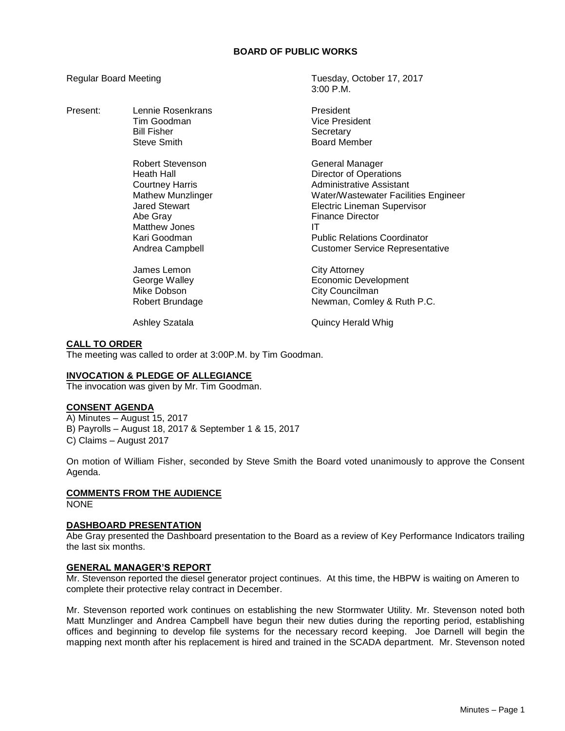## **BOARD OF PUBLIC WORKS**

3:00 P.M.

## Regular Board Meeting Tuesday, October 17, 2017

| Present: | Lennie Rosenkrans<br>Tim Goodman<br><b>Bill Fisher</b><br>Steve Smith                                                                                                        | President<br>Vice President<br>Secretary<br><b>Board Member</b>                                                                                                                                                                                                              |
|----------|------------------------------------------------------------------------------------------------------------------------------------------------------------------------------|------------------------------------------------------------------------------------------------------------------------------------------------------------------------------------------------------------------------------------------------------------------------------|
|          | Robert Stevenson<br>Heath Hall<br><b>Courtney Harris</b><br><b>Mathew Munzlinger</b><br><b>Jared Stewart</b><br>Abe Gray<br>Matthew Jones<br>Kari Goodman<br>Andrea Campbell | General Manager<br><b>Director of Operations</b><br>Administrative Assistant<br>Water/Wastewater Facilities Engineer<br><b>Electric Lineman Supervisor</b><br><b>Finance Director</b><br>IT<br><b>Public Relations Coordinator</b><br><b>Customer Service Representative</b> |
|          | James Lemon<br>George Walley<br>Mike Dobson<br>Robert Brundage<br><b>Ashley Szatala</b>                                                                                      | <b>City Attorney</b><br>Economic Development<br>City Councilman<br>Newman, Comley & Ruth P.C.<br>Quincy Herald Whig                                                                                                                                                          |

### **CALL TO ORDER**

The meeting was called to order at 3:00P.M. by Tim Goodman.

## **INVOCATION & PLEDGE OF ALLEGIANCE**

The invocation was given by Mr. Tim Goodman.

# **CONSENT AGENDA**

A) Minutes – August 15, 2017 B) Payrolls – August 18, 2017 & September 1 & 15, 2017 C) Claims – August 2017

On motion of William Fisher, seconded by Steve Smith the Board voted unanimously to approve the Consent Agenda.

### **COMMENTS FROM THE AUDIENCE**

NONE

#### **DASHBOARD PRESENTATION**

Abe Gray presented the Dashboard presentation to the Board as a review of Key Performance Indicators trailing the last six months.

#### **GENERAL MANAGER'S REPORT**

Mr. Stevenson reported the diesel generator project continues. At this time, the HBPW is waiting on Ameren to complete their protective relay contract in December.

Mr. Stevenson reported work continues on establishing the new Stormwater Utility. Mr. Stevenson noted both Matt Munzlinger and Andrea Campbell have begun their new duties during the reporting period, establishing offices and beginning to develop file systems for the necessary record keeping. Joe Darnell will begin the mapping next month after his replacement is hired and trained in the SCADA department. Mr. Stevenson noted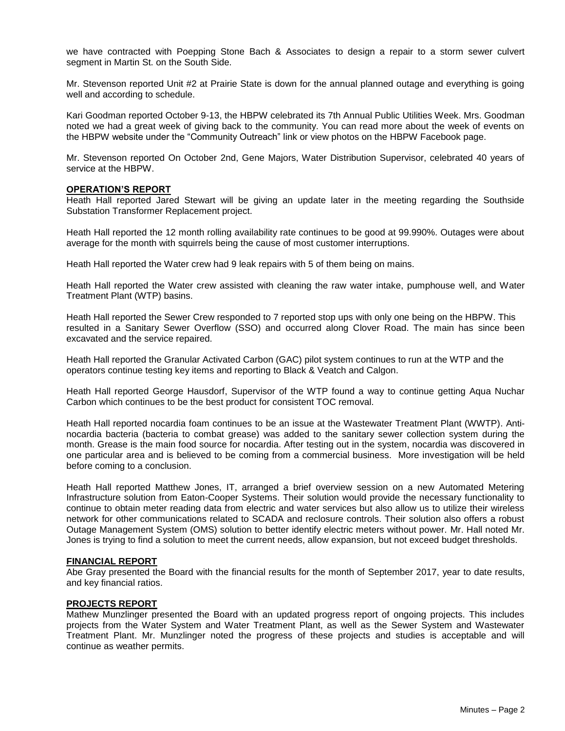we have contracted with Poepping Stone Bach & Associates to design a repair to a storm sewer culvert segment in Martin St. on the South Side.

Mr. Stevenson reported Unit #2 at Prairie State is down for the annual planned outage and everything is going well and according to schedule.

Kari Goodman reported October 9-13, the HBPW celebrated its 7th Annual Public Utilities Week. Mrs. Goodman noted we had a great week of giving back to the community. You can read more about the week of events on the HBPW website under the "Community Outreach" link or view photos on the HBPW Facebook page.

Mr. Stevenson reported On October 2nd, Gene Majors, Water Distribution Supervisor, celebrated 40 years of service at the HBPW.

### **OPERATION'S REPORT**

Heath Hall reported Jared Stewart will be giving an update later in the meeting regarding the Southside Substation Transformer Replacement project.

Heath Hall reported the 12 month rolling availability rate continues to be good at 99.990%. Outages were about average for the month with squirrels being the cause of most customer interruptions.

Heath Hall reported the Water crew had 9 leak repairs with 5 of them being on mains.

Heath Hall reported the Water crew assisted with cleaning the raw water intake, pumphouse well, and Water Treatment Plant (WTP) basins.

Heath Hall reported the Sewer Crew responded to 7 reported stop ups with only one being on the HBPW. This resulted in a Sanitary Sewer Overflow (SSO) and occurred along Clover Road. The main has since been excavated and the service repaired.

Heath Hall reported the Granular Activated Carbon (GAC) pilot system continues to run at the WTP and the operators continue testing key items and reporting to Black & Veatch and Calgon.

Heath Hall reported George Hausdorf, Supervisor of the WTP found a way to continue getting Aqua Nuchar Carbon which continues to be the best product for consistent TOC removal.

Heath Hall reported nocardia foam continues to be an issue at the Wastewater Treatment Plant (WWTP). Antinocardia bacteria (bacteria to combat grease) was added to the sanitary sewer collection system during the month. Grease is the main food source for nocardia. After testing out in the system, nocardia was discovered in one particular area and is believed to be coming from a commercial business. More investigation will be held before coming to a conclusion.

Heath Hall reported Matthew Jones, IT, arranged a brief overview session on a new Automated Metering Infrastructure solution from Eaton-Cooper Systems. Their solution would provide the necessary functionality to continue to obtain meter reading data from electric and water services but also allow us to utilize their wireless network for other communications related to SCADA and reclosure controls. Their solution also offers a robust Outage Management System (OMS) solution to better identify electric meters without power. Mr. Hall noted Mr. Jones is trying to find a solution to meet the current needs, allow expansion, but not exceed budget thresholds.

#### **FINANCIAL REPORT**

Abe Gray presented the Board with the financial results for the month of September 2017, year to date results, and key financial ratios.

#### **PROJECTS REPORT**

Mathew Munzlinger presented the Board with an updated progress report of ongoing projects. This includes projects from the Water System and Water Treatment Plant, as well as the Sewer System and Wastewater Treatment Plant. Mr. Munzlinger noted the progress of these projects and studies is acceptable and will continue as weather permits.